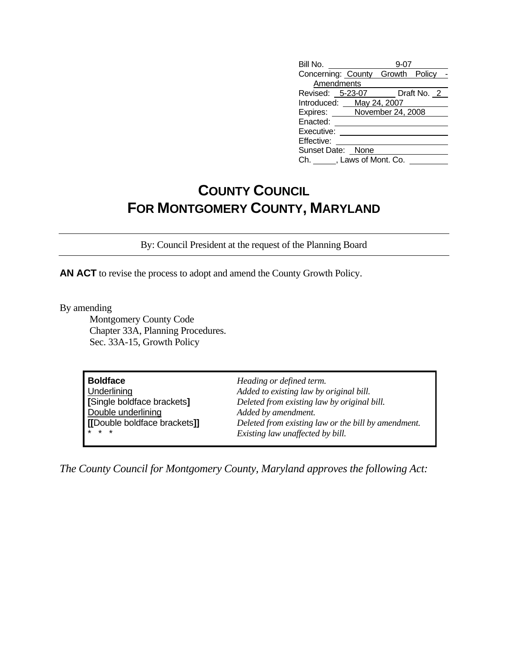| Bill No.                         |  |             |
|----------------------------------|--|-------------|
| Concerning: County Growth Policy |  |             |
| Amendments                       |  |             |
| Revised: 5-23-07                 |  | Draft No. 2 |
| Introduced: May 24, 2007         |  |             |
| Expires: November 24, 2008       |  |             |
| Enacted:                         |  |             |
| Executive:                       |  |             |
| Effective:                       |  |             |
| Sunset Date: None                |  |             |
| Ch. J. Laws of Mont. Co.         |  |             |

## **COUNTY COUNCIL FOR MONTGOMERY COUNTY, MARYLAND**

By: Council President at the request of the Planning Board

**AN ACT** to revise the process to adopt and amend the County Growth Policy.

By amending

 Montgomery County Code Chapter 33A, Planning Procedures. Sec. 33A-15, Growth Policy

*The County Council for Montgomery County, Maryland approves the following Act:*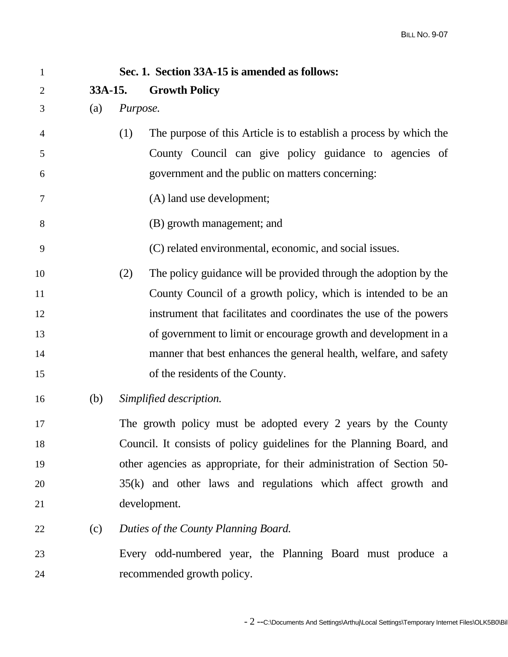| $\mathbf{1}$   |         | Sec. 1. Section 33A-15 is amended as follows:                             |
|----------------|---------|---------------------------------------------------------------------------|
| $\overline{2}$ | 33A-15. | <b>Growth Policy</b>                                                      |
| 3              | (a)     | Purpose.                                                                  |
| $\overline{4}$ |         | The purpose of this Article is to establish a process by which the<br>(1) |
| 5              |         | County Council can give policy guidance to agencies of                    |
| 6              |         | government and the public on matters concerning:                          |
| 7              |         | (A) land use development;                                                 |
| 8              |         | (B) growth management; and                                                |
| 9              |         | (C) related environmental, economic, and social issues.                   |
| 10             |         | The policy guidance will be provided through the adoption by the<br>(2)   |
| 11             |         | County Council of a growth policy, which is intended to be an             |
| 12             |         | instrument that facilitates and coordinates the use of the powers         |
| 13             |         | of government to limit or encourage growth and development in a           |
| 14             |         | manner that best enhances the general health, welfare, and safety         |
| 15             |         | of the residents of the County.                                           |
| 16             | (b)     | Simplified description.                                                   |
| 17             |         | The growth policy must be adopted every 2 years by the County             |
| 18             |         | Council. It consists of policy guidelines for the Planning Board, and     |
| 19             |         | other agencies as appropriate, for their administration of Section 50-    |
| 20             |         | 35(k) and other laws and regulations which affect growth and              |
| 21             |         | development.                                                              |
| 22             | (c)     | Duties of the County Planning Board.                                      |
| 23             |         | Every odd-numbered year, the Planning Board must produce a                |
| 24             |         | recommended growth policy.                                                |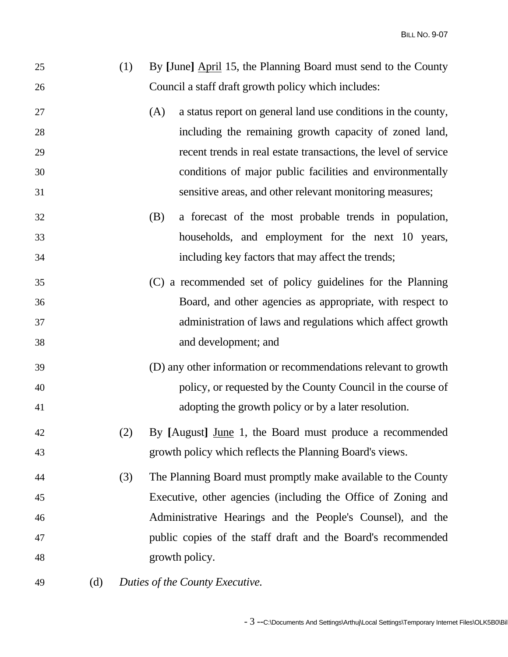| 25 | (1) By [June] April 15, the Planning Board must send to the County |
|----|--------------------------------------------------------------------|
| 26 | Council a staff draft growth policy which includes:                |

- 27 (A) a status report on general land use conditions in the county, 28 including the remaining growth capacity of zoned land, 29 recent trends in real estate transactions, the level of service 30 conditions of major public facilities and environmentally 31 sensitive areas, and other relevant monitoring measures;
- 32 (B) a forecast of the most probable trends in population, 33 households, and employment for the next 10 years, 34 including key factors that may affect the trends;
- 35 (C) a recommended set of policy guidelines for the Planning 36 Board, and other agencies as appropriate, with respect to 37 administration of laws and regulations which affect growth 38 and development; and
- 39 (D) any other information or recommendations relevant to growth 40 policy, or requested by the County Council in the course of 41 adopting the growth policy or by a later resolution.
- 42 (2) By **[**August**]** June 1, the Board must produce a recommended 43 growth policy which reflects the Planning Board's views.
- 44 (3) The Planning Board must promptly make available to the County 45 Executive, other agencies (including the Office of Zoning and 46 Administrative Hearings and the People's Counsel), and the 47 public copies of the staff draft and the Board's recommended 48 growth policy.
- 49 (d) *Duties of the County Executive.*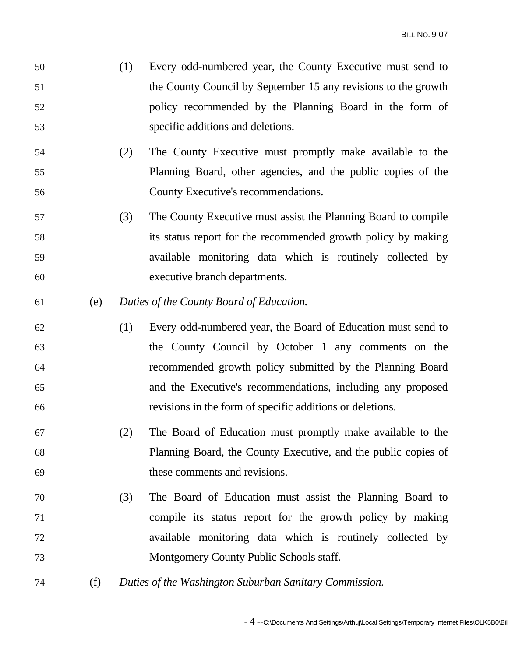- 50 (1) Every odd-numbered year, the County Executive must send to 51 the County Council by September 15 any revisions to the growth 52 policy recommended by the Planning Board in the form of 53 specific additions and deletions.
- 54 (2) The County Executive must promptly make available to the 55 Planning Board, other agencies, and the public copies of the 56 County Executive's recommendations.
- 57 (3) The County Executive must assist the Planning Board to compile 58 its status report for the recommended growth policy by making 59 available monitoring data which is routinely collected by 60 executive branch departments.
- 61 (e) *Duties of the County Board of Education.*
- 62 (1) Every odd-numbered year, the Board of Education must send to 63 the County Council by October 1 any comments on the 64 recommended growth policy submitted by the Planning Board 65 and the Executive's recommendations, including any proposed 66 revisions in the form of specific additions or deletions.
- 67 (2) The Board of Education must promptly make available to the 68 Planning Board, the County Executive, and the public copies of 69 these comments and revisions.
- 70 (3) The Board of Education must assist the Planning Board to 71 compile its status report for the growth policy by making 72 available monitoring data which is routinely collected by 73 Montgomery County Public Schools staff.
- 74 (f) *Duties of the Washington Suburban Sanitary Commission.*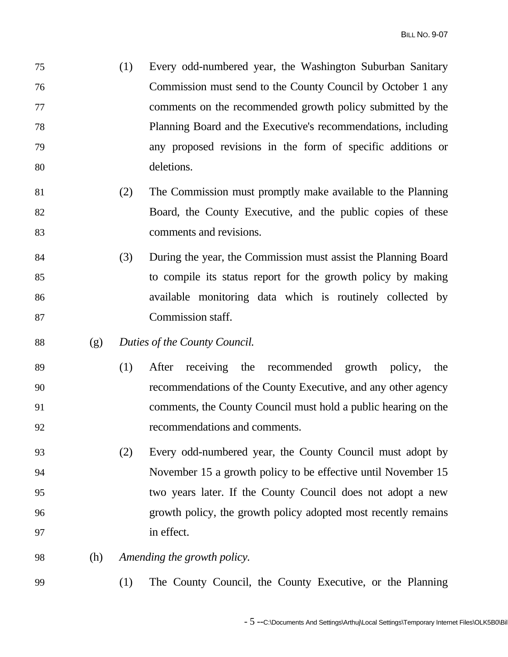- 75 (1) Every odd-numbered year, the Washington Suburban Sanitary 76 Commission must send to the County Council by October 1 any 77 comments on the recommended growth policy submitted by the 78 Planning Board and the Executive's recommendations, including 79 any proposed revisions in the form of specific additions or 80 deletions.
- 81 (2) The Commission must promptly make available to the Planning 82 Board, the County Executive, and the public copies of these 83 comments and revisions.
- 84 (3) During the year, the Commission must assist the Planning Board 85 to compile its status report for the growth policy by making 86 available monitoring data which is routinely collected by 87 Commission staff.
- 88 (g) *Duties of the County Council.*
- 89 (1) After receiving the recommended growth policy, the 90 recommendations of the County Executive, and any other agency 91 comments, the County Council must hold a public hearing on the 92 recommendations and comments.
- 93 (2) Every odd-numbered year, the County Council must adopt by 94 November 15 a growth policy to be effective until November 15 95 two years later. If the County Council does not adopt a new 96 growth policy, the growth policy adopted most recently remains 97 in effect.
- 98 (h) *Amending the growth policy.*
- 99 (1) The County Council, the County Executive, or the Planning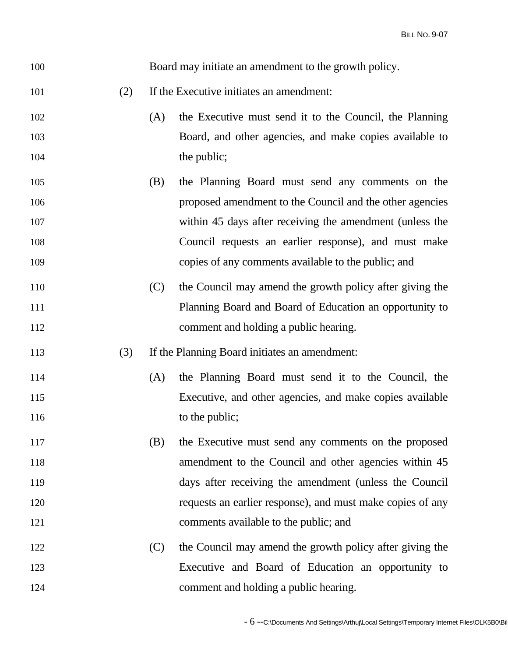| 100 |     |     | Board may initiate an amendment to the growth policy.      |
|-----|-----|-----|------------------------------------------------------------|
| 101 | (2) |     | If the Executive initiates an amendment:                   |
| 102 |     | (A) | the Executive must send it to the Council, the Planning    |
| 103 |     |     | Board, and other agencies, and make copies available to    |
| 104 |     |     | the public;                                                |
| 105 |     | (B) | the Planning Board must send any comments on the           |
| 106 |     |     | proposed amendment to the Council and the other agencies   |
| 107 |     |     | within 45 days after receiving the amendment (unless the   |
| 108 |     |     | Council requests an earlier response), and must make       |
| 109 |     |     | copies of any comments available to the public; and        |
| 110 |     | (C) | the Council may amend the growth policy after giving the   |
| 111 |     |     | Planning Board and Board of Education an opportunity to    |
| 112 |     |     | comment and holding a public hearing.                      |
| 113 | (3) |     | If the Planning Board initiates an amendment:              |
| 114 |     | (A) | the Planning Board must send it to the Council, the        |
| 115 |     |     | Executive, and other agencies, and make copies available   |
| 116 |     |     | to the public;                                             |
| 117 |     | (B) | the Executive must send any comments on the proposed       |
| 118 |     |     | amendment to the Council and other agencies within 45      |
| 119 |     |     | days after receiving the amendment (unless the Council     |
| 120 |     |     | requests an earlier response), and must make copies of any |
| 121 |     |     | comments available to the public; and                      |
| 122 |     | (C) | the Council may amend the growth policy after giving the   |
| 123 |     |     | Executive and Board of Education an opportunity to         |
| 124 |     |     | comment and holding a public hearing.                      |